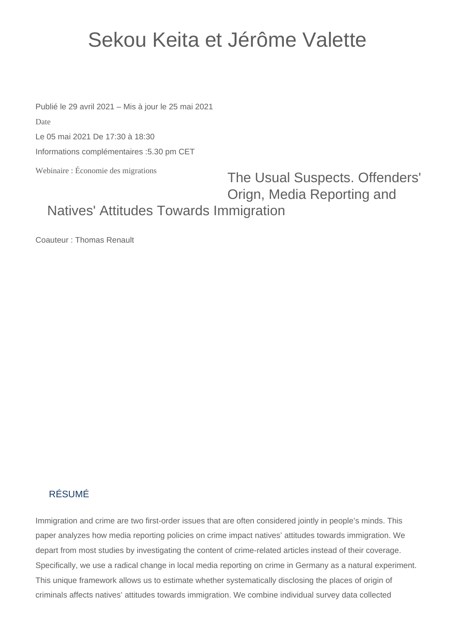## Sekou Keita et Jérôme Valette

Publié le 29 avril 2021 – Mis à jour le 25 mai 2021 Date

Le 05 mai 2021 De 17:30 à 18:30

Informations complémentaires :5.30 pm CET

Webinaire : Économie des migrations

## The Usual Suspects. Offenders' Orign, Media Reporting and Natives' Attitudes Towards Immigration

Coauteur : Thomas Renault

## RÉSUMÉ

Immigration and crime are two first-order issues that are often considered jointly in people's minds. This paper analyzes how media reporting policies on crime impact natives' attitudes towards immigration. We depart from most studies by investigating the content of crime-related articles instead of their coverage. Specifically, we use a radical change in local media reporting on crime in Germany as a natural experiment. This unique framework allows us to estimate whether systematically disclosing the places of origin of criminals affects natives' attitudes towards immigration. We combine individual survey data collected